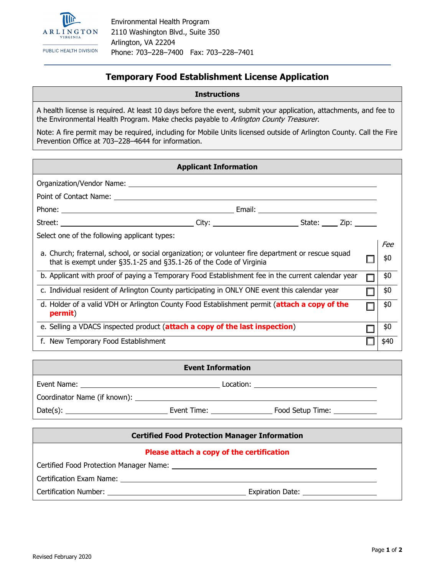

## **Temporary Food Establishment License Application**

## **Instructions**

A health license is required. At least 10 days before the event, submit your application, attachments, and fee to the Environmental Health Program. Make checks payable to Arlington County Treasurer.

Note: A fire permit may be required, including for Mobile Units licensed outside of Arlington County. Call the Fire Prevention Office at 703–228–4644 for information.

| <b>Applicant Information</b>                                                                                                                                                         |  |      |
|--------------------------------------------------------------------------------------------------------------------------------------------------------------------------------------|--|------|
|                                                                                                                                                                                      |  |      |
|                                                                                                                                                                                      |  |      |
|                                                                                                                                                                                      |  |      |
|                                                                                                                                                                                      |  |      |
| Select one of the following applicant types:                                                                                                                                         |  |      |
|                                                                                                                                                                                      |  | Fee  |
| a. Church; fraternal, school, or social organization; or volunteer fire department or rescue squad<br>that is exempt under $\S 35.1 - 25$ and $\S 35.1 - 26$ of the Code of Virginia |  | \$0  |
| b. Applicant with proof of paying a Temporary Food Establishment fee in the current calendar year                                                                                    |  | \$0  |
| c. Individual resident of Arlington County participating in ONLY ONE event this calendar year                                                                                        |  | \$0  |
| d. Holder of a valid VDH or Arlington County Food Establishment permit (attach a copy of the<br>permit)                                                                              |  | \$0  |
| e. Selling a VDACS inspected product (attach a copy of the last inspection)                                                                                                          |  | \$0  |
| f. New Temporary Food Establishment                                                                                                                                                  |  | \$40 |

|                                                                                                                                                                                                                                                                                                                                                                                                                                                                            | <b>Event Information</b> |                  |
|----------------------------------------------------------------------------------------------------------------------------------------------------------------------------------------------------------------------------------------------------------------------------------------------------------------------------------------------------------------------------------------------------------------------------------------------------------------------------|--------------------------|------------------|
|                                                                                                                                                                                                                                                                                                                                                                                                                                                                            |                          |                  |
|                                                                                                                                                                                                                                                                                                                                                                                                                                                                            |                          |                  |
| $Date(s): \begin{tabular}{ c c } \hline \multicolumn{3}{ c }{\textbf{Date}} (s): \begin{tabular}{ c c c } \hline \multicolumn{3}{ c }{\textbf{Date}} (s): \end{tabular} \hline \multicolumn{3}{ c }{\textbf{Date}} (s): \begin{tabular}{ c c c } \hline \multicolumn{3}{ c }{\textbf{Date}} (s): \end{tabular} \hline \multicolumn{3}{ c }{\textbf{Date}} (s): \begin{tabular}{ c c c } \hline \multicolumn{3}{ c }{\textbf{Date}} (s): \end{tabular} \hline \multicolumn$ | Event Time: Event Time:  | Food Setup Time: |

| <b>Certified Food Protection Manager Information</b> |                                                                                                                                                                                                                                     |  |  |
|------------------------------------------------------|-------------------------------------------------------------------------------------------------------------------------------------------------------------------------------------------------------------------------------------|--|--|
| Please attach a copy of the certification            |                                                                                                                                                                                                                                     |  |  |
|                                                      |                                                                                                                                                                                                                                     |  |  |
|                                                      | Certification Exam Name: University of the Certification of the Manuscripture of the Certification of the Cert                                                                                                                      |  |  |
|                                                      | <b>Certification Number:</b> The contract of the contract of the contract of the contract of the contract of the contract of the contract of the contract of the contract of the contract of the contract of the contract of the co |  |  |